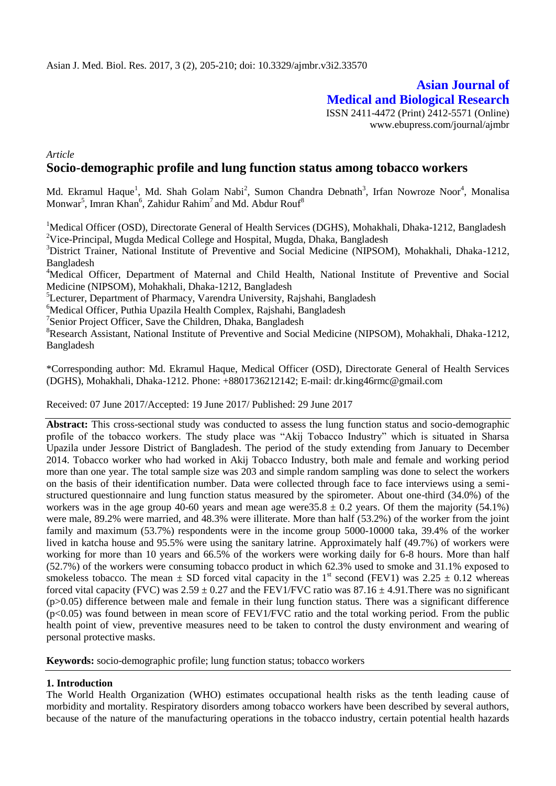## **Asian Journal of Medical and Biological Research** ISSN 2411-4472 (Print) 2412-5571 (Online)

www.ebupress.com/journal/ajmbr

*Article*

# **Socio-demographic profile and lung function status among tobacco workers**

Md. Ekramul Haque<sup>1</sup>, Md. Shah Golam Nabi<sup>2</sup>, Sumon Chandra Debnath<sup>3</sup>, Irfan Nowroze Noor<sup>4</sup>, Monalisa Monwar<sup>5</sup>, Imran Khan<sup>6</sup>, Zahidur Rahim<sup>7</sup> and Md. Abdur Rouf<sup>8</sup>

<sup>1</sup>Medical Officer (OSD), Directorate General of Health Services (DGHS), Mohakhali, Dhaka-1212, Bangladesh <sup>2</sup>Vice-Principal, Mugda Medical College and Hospital, Mugda, Dhaka, Bangladesh

<sup>3</sup>District Trainer, National Institute of Preventive and Social Medicine (NIPSOM), Mohakhali, Dhaka-1212, Bangladesh

<sup>4</sup>Medical Officer, Department of Maternal and Child Health, National Institute of Preventive and Social Medicine (NIPSOM), Mohakhali, Dhaka-1212, Bangladesh

<sup>5</sup>Lecturer, Department of Pharmacy, Varendra University, Rajshahi, Bangladesh

<sup>6</sup>Medical Officer, Puthia Upazila Health Complex, Rajshahi, Bangladesh

<sup>7</sup>Senior Project Officer, Save the Children, Dhaka, Bangladesh

<sup>8</sup>Research Assistant, National Institute of Preventive and Social Medicine (NIPSOM), Mohakhali, Dhaka-1212, Bangladesh

\*Corresponding author: Md. Ekramul Haque, Medical Officer (OSD), Directorate General of Health Services (DGHS), Mohakhali, Dhaka-1212. Phone: +8801736212142; E-mail: dr[.king46rmc@gmail.com](mailto:king46rmc@gmail.com)

Received: 07 June 2017/Accepted: 19 June 2017/ Published: 29 June 2017

**Abstract:** This cross-sectional study was conducted to assess the lung function status and socio-demographic profile of the tobacco workers. The study place was "Akij Tobacco Industry" which is situated in Sharsa Upazila under Jessore District of Bangladesh. The period of the study extending from January to December 2014. Tobacco worker who had worked in Akij Tobacco Industry, both male and female and working period more than one year. The total sample size was 203 and simple random sampling was done to select the workers on the basis of their identification number. Data were collected through face to face interviews using a semistructured questionnaire and lung function status measured by the spirometer. About one-third (34.0%) of the workers was in the age group 40-60 years and mean age were  $35.8 \pm 0.2$  years. Of them the majority (54.1%) were male, 89.2% were married, and 48.3% were illiterate. More than half (53.2%) of the worker from the joint family and maximum (53.7%) respondents were in the income group 5000-10000 taka, 39.4% of the worker lived in katcha house and 95.5% were using the sanitary latrine. Approximately half (49.7%) of workers were working for more than 10 years and 66.5% of the workers were working daily for 6-8 hours. More than half (52.7%) of the workers were consuming tobacco product in which 62.3% used to smoke and 31.1% exposed to smokeless tobacco. The mean  $\pm$  SD forced vital capacity in the 1<sup>st</sup> second (FEV1) was 2.25  $\pm$  0.12 whereas forced vital capacity (FVC) was  $2.59 \pm 0.27$  and the FEV1/FVC ratio was  $87.16 \pm 4.91$ . There was no significant (p>0.05) difference between male and female in their lung function status. There was a significant difference (p<0.05) was found between in mean score of FEV1/FVC ratio and the total working period. From the public health point of view, preventive measures need to be taken to control the dusty environment and wearing of personal protective masks.

**Keywords:** socio-demographic profile; lung function status; tobacco workers

### **1. Introduction**

The World Health Organization (WHO) estimates occupational health risks as the tenth leading cause of morbidity and mortality. Respiratory disorders among tobacco workers have been described by several authors, because of the nature of the manufacturing operations in the tobacco industry, certain potential health hazards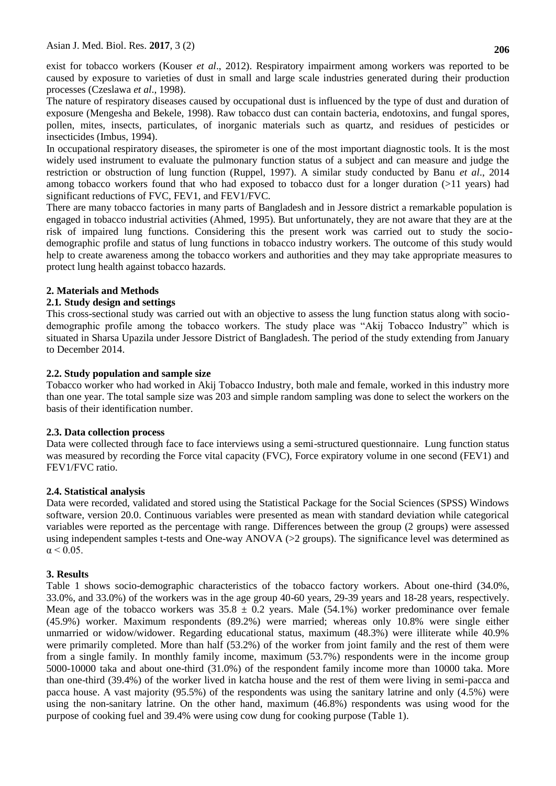exist for tobacco workers (Kouser *et al*., 2012). Respiratory impairment among workers was reported to be caused by exposure to varieties of dust in small and large scale industries generated during their production processes (Czeslawa *et al*., 1998).

The nature of respiratory diseases caused by occupational dust is influenced by the type of dust and duration of exposure (Mengesha and Bekele, 1998). Raw tobacco dust can contain bacteria, endotoxins, and fungal spores, pollen, mites, insects, particulates, of inorganic materials such as quartz, and residues of pesticides or insecticides (Imbus, 1994).

In occupational respiratory diseases, the spirometer is one of the most important diagnostic tools. It is the most widely used instrument to evaluate the pulmonary function status of a subject and can measure and judge the restriction or obstruction of lung function (Ruppel, 1997). A similar study conducted by Banu *et al*., 2014 among tobacco workers found that who had exposed to tobacco dust for a longer duration (>11 years) had significant reductions of FVC, FEV1, and FEV1/FVC.

There are many tobacco factories in many parts of Bangladesh and in Jessore district a remarkable population is engaged in tobacco industrial activities (Ahmed, 1995). But unfortunately, they are not aware that they are at the risk of impaired lung functions. Considering this the present work was carried out to study the sociodemographic profile and status of lung functions in tobacco industry workers. The outcome of this study would help to create awareness among the tobacco workers and authorities and they may take appropriate measures to protect lung health against tobacco hazards.

## **2. Materials and Methods**

## **2.1***.* **Study design and settings**

This cross-sectional study was carried out with an objective to assess the lung function status along with sociodemographic profile among the tobacco workers. The study place was "Akij Tobacco Industry" which is situated in Sharsa Upazila under Jessore District of Bangladesh. The period of the study extending from January to December 2014.

## **2.2. Study population and sample size**

Tobacco worker who had worked in Akij Tobacco Industry, both male and female, worked in this industry more than one year. The total sample size was 203 and simple random sampling was done to select the workers on the basis of their identification number.

### **2.3. Data collection process**

Data were collected through face to face interviews using a semi-structured questionnaire. Lung function status was measured by recording the Force vital capacity (FVC), Force expiratory volume in one second (FEV1) and FEV1/FVC ratio.

### **2.4. Statistical analysis**

Data were recorded, validated and stored using the Statistical Package for the Social Sciences (SPSS) Windows software, version 20.0. Continuous variables were presented as mean with standard deviation while categorical variables were reported as the percentage with range. Differences between the group (2 groups) were assessed using independent samples t-tests and One-way ANOVA (>2 groups). The significance level was determined as  $\alpha$  < 0.05.

## **3. Results**

Table 1 shows socio-demographic characteristics of the tobacco factory workers. About one-third (34.0%, 33.0%, and 33.0%) of the workers was in the age group 40-60 years, 29-39 years and 18-28 years, respectively. Mean age of the tobacco workers was  $35.8 \pm 0.2$  years. Male (54.1%) worker predominance over female (45.9%) worker. Maximum respondents (89.2%) were married; whereas only 10.8% were single either unmarried or widow/widower. Regarding educational status, maximum (48.3%) were illiterate while 40.9% were primarily completed. More than half (53.2%) of the worker from joint family and the rest of them were from a single family. In monthly family income, maximum (53.7%) respondents were in the income group 5000-10000 taka and about one-third (31.0%) of the respondent family income more than 10000 taka. More than one-third (39.4%) of the worker lived in katcha house and the rest of them were living in semi-pacca and pacca house. A vast majority (95.5%) of the respondents was using the sanitary latrine and only (4.5%) were using the non-sanitary latrine. On the other hand, maximum (46.8%) respondents was using wood for the purpose of cooking fuel and 39.4% were using cow dung for cooking purpose (Table 1).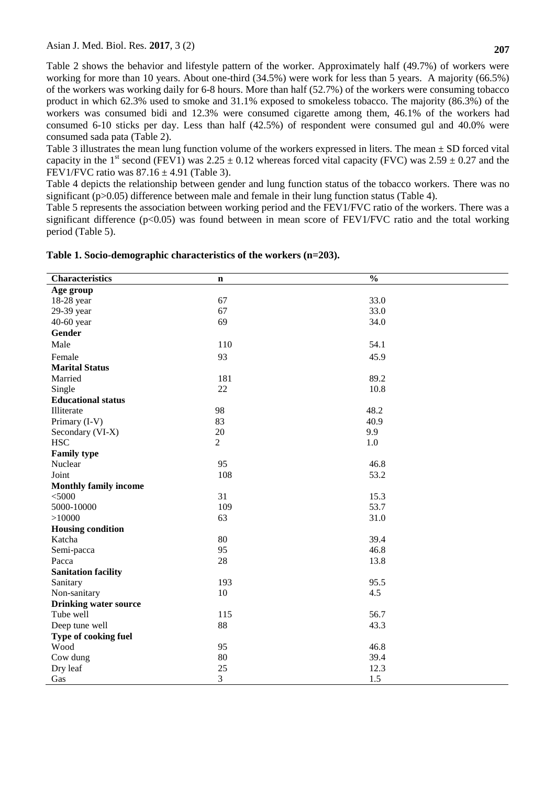Table 2 shows the behavior and lifestyle pattern of the worker. Approximately half (49.7%) of workers were working for more than 10 years. About one-third (34.5%) were work for less than 5 years. A majority (66.5%) of the workers was working daily for 6-8 hours. More than half (52.7%) of the workers were consuming tobacco product in which 62.3% used to smoke and 31.1% exposed to smokeless tobacco. The majority (86.3%) of the workers was consumed bidi and 12.3% were consumed cigarette among them, 46.1% of the workers had consumed 6-10 sticks per day. Less than half (42.5%) of respondent were consumed gul and 40.0% were consumed sada pata (Table 2).

Table 3 illustrates the mean lung function volume of the workers expressed in liters. The mean  $\pm$  SD forced vital capacity in the 1<sup>st</sup> second (FEV1) was 2.25  $\pm$  0.12 whereas forced vital capacity (FVC) was 2.59  $\pm$  0.27 and the FEV1/FVC ratio was  $87.16 \pm 4.91$  (Table 3).

Table 4 depicts the relationship between gender and lung function status of the tobacco workers. There was no significant ( $p>0.05$ ) difference between male and female in their lung function status (Table 4).

Table 5 represents the association between working period and the FEV1/FVC ratio of the workers. There was a significant difference ( $p<0.05$ ) was found between in mean score of FEV1/FVC ratio and the total working period (Table 5).

| <b>Characteristics</b>       | $\mathbf n$    | $\overline{\frac{0}{0}}$ |
|------------------------------|----------------|--------------------------|
| Age group                    |                |                          |
| 18-28 year                   | 67             | 33.0                     |
| 29-39 year                   | 67             | 33.0                     |
| 40-60 year                   | 69             | 34.0                     |
| <b>Gender</b>                |                |                          |
| Male                         | 110            | 54.1                     |
| Female                       | 93             | 45.9                     |
| <b>Marital Status</b>        |                |                          |
| Married                      | 181            | 89.2                     |
| Single                       | 22             | 10.8                     |
| <b>Educational status</b>    |                |                          |
| Illiterate                   | 98             | 48.2                     |
| Primary (I-V)                | 83             | 40.9                     |
| Secondary (VI-X)             | $20\,$         | 9.9                      |
| <b>HSC</b>                   | $\overline{2}$ | 1.0                      |
| <b>Family type</b>           |                |                          |
| Nuclear                      | 95             | 46.8                     |
| Joint                        | 108            | 53.2                     |
| <b>Monthly family income</b> |                |                          |
| $<$ 5000                     | 31             | 15.3                     |
| 5000-10000                   | 109            | 53.7                     |
| >10000                       | 63             | 31.0                     |
| <b>Housing condition</b>     |                |                          |
| Katcha                       | 80             | 39.4                     |
| Semi-pacca                   | 95             | 46.8                     |
| Pacca                        | 28             | 13.8                     |
| <b>Sanitation facility</b>   |                |                          |
| Sanitary                     | 193            | 95.5                     |
| Non-sanitary                 | 10             | 4.5                      |
| <b>Drinking water source</b> |                |                          |
| Tube well                    | 115            | 56.7                     |
| Deep tune well               | 88             | 43.3                     |
| Type of cooking fuel         |                |                          |
| Wood                         | 95             | 46.8                     |
| Cow dung                     | 80             | 39.4                     |
| Dry leaf                     | 25             | 12.3                     |
| Gas                          | 3              | 1.5                      |

#### **Table 1. Socio-demographic characteristics of the workers (n=203).**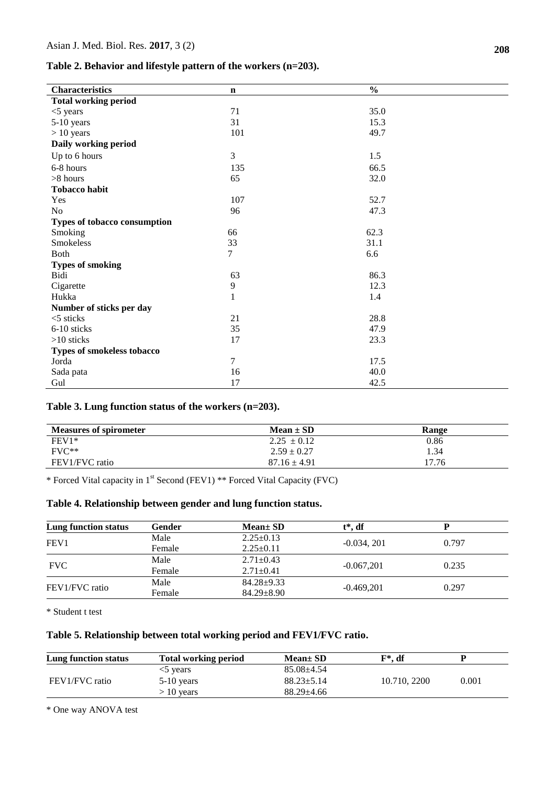#### **Table 2. Behavior and lifestyle pattern of the workers (n=203).**

| <b>Characteristics</b>       | $\mathbf n$    | $\frac{0}{0}$ |
|------------------------------|----------------|---------------|
| <b>Total working period</b>  |                |               |
| $<$ 5 years                  | 71             | 35.0          |
| 5-10 years                   | 31             | 15.3          |
| $> 10$ years                 | 101            | 49.7          |
| Daily working period         |                |               |
| Up to 6 hours                | 3              | 1.5           |
| 6-8 hours                    | 135            | 66.5          |
| >8 hours                     | 65             | 32.0          |
| <b>Tobacco habit</b>         |                |               |
| Yes                          | 107            | 52.7          |
| No                           | 96             | 47.3          |
| Types of tobacco consumption |                |               |
| Smoking                      | 66             | 62.3          |
| Smokeless                    | 33             | 31.1          |
| <b>Both</b>                  | 7              | 6.6           |
| <b>Types of smoking</b>      |                |               |
| Bidi                         | 63             | 86.3          |
| Cigarette                    | 9              | 12.3          |
| Hukka                        | $\mathbf{1}$   | 1.4           |
| Number of sticks per day     |                |               |
| $<$ 5 sticks                 | 21             | 28.8          |
| 6-10 sticks                  | 35             | 47.9          |
| $>10$ sticks                 | 17             | 23.3          |
| Types of smokeless tobacco   |                |               |
| Jorda                        | $\overline{7}$ | 17.5          |
| Sada pata                    | 16             | 40.0          |
| Gul                          | 17             | 42.5          |

## **Table 3. Lung function status of the workers (n=203).**

| <b>Measures of spirometer</b> | $Mean \pm SD$    | Range |
|-------------------------------|------------------|-------|
| $FEV1*$                       | $2.25 \pm 0.12$  | 0.86  |
| $\rm FVC^{**}$                | $2.59 \pm 0.27$  | 1.34  |
| FEV1/FVC ratio                | $87.16 \pm 4.91$ | 17.76 |

\* Forced Vital capacity in 1st Second (FEV1) \*\* Forced Vital Capacity (FVC)

#### **Table 4. Relationship between gender and lung function status.**

| Lung function status | Gender | $Mean \pm SD$    | $t^*$ , df    |       |
|----------------------|--------|------------------|---------------|-------|
| FEV <sub>1</sub>     | Male   | $2.25 \pm 0.13$  |               |       |
|                      | Female | $2.25 \pm 0.11$  | $-0.034, 201$ | 0.797 |
| <b>FVC</b>           | Male   | $2.71 \pm 0.43$  |               |       |
|                      | Female | $2.71 \pm 0.41$  | $-0.067,201$  | 0.235 |
| FEV1/FVC ratio       | Male   | $84.28 \pm 9.33$ |               |       |
|                      | Female | $84.29 \pm 8.90$ | $-0.469.201$  | 0.297 |

\* Student t test

## **Table 5. Relationship between total working period and FEV1/FVC ratio.**

| Lung function status | <b>Total working period</b> | $Mean \pm SD$    | F*. df       |       |
|----------------------|-----------------------------|------------------|--------------|-------|
|                      | $<$ vears                   | $85.08 + 4.54$   |              |       |
| FEV1/FVC ratio       | $5-10$ years                | $88.23 \pm 5.14$ | 10.710, 2200 | 0.001 |
|                      | > 10 years                  | $88.29 + 4.66$   |              |       |

\* One way ANOVA test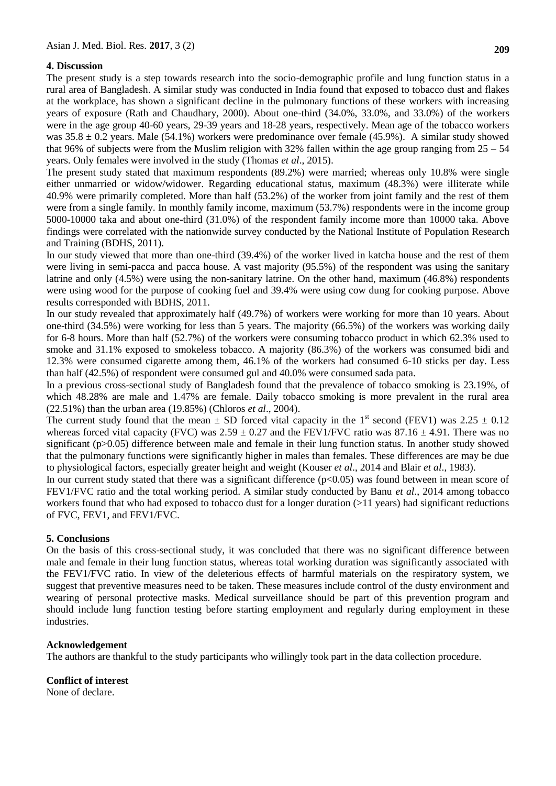## **4. Discussion**

The present study is a step towards research into the socio-demographic profile and lung function status in a rural area of Bangladesh. A similar study was conducted in India found that exposed to tobacco dust and flakes at the workplace, has shown a significant decline in the pulmonary functions of these workers with increasing years of exposure (Rath and Chaudhary, 2000). About one-third (34.0%, 33.0%, and 33.0%) of the workers were in the age group 40-60 years, 29-39 years and 18-28 years, respectively. Mean age of the tobacco workers was  $35.8 \pm 0.2$  years. Male (54.1%) workers were predominance over female (45.9%). A similar study showed that 96% of subjects were from the Muslim religion with 32% fallen within the age group ranging from  $25 - 54$ years. Only females were involved in the study (Thomas *et al*., 2015).

The present study stated that maximum respondents (89.2%) were married; whereas only 10.8% were single either unmarried or widow/widower. Regarding educational status, maximum (48.3%) were illiterate while 40.9% were primarily completed. More than half (53.2%) of the worker from joint family and the rest of them were from a single family. In monthly family income, maximum (53.7%) respondents were in the income group 5000-10000 taka and about one-third (31.0%) of the respondent family income more than 10000 taka. Above findings were correlated with the nationwide survey conducted by the National Institute of Population Research and Training (BDHS, 2011).

In our study viewed that more than one-third (39.4%) of the worker lived in katcha house and the rest of them were living in semi-pacca and pacca house. A vast majority (95.5%) of the respondent was using the sanitary latrine and only (4.5%) were using the non-sanitary latrine. On the other hand, maximum (46.8%) respondents were using wood for the purpose of cooking fuel and 39.4% were using cow dung for cooking purpose. Above results corresponded with BDHS, 2011.

In our study revealed that approximately half (49.7%) of workers were working for more than 10 years. About one-third (34.5%) were working for less than 5 years. The majority (66.5%) of the workers was working daily for 6-8 hours. More than half (52.7%) of the workers were consuming tobacco product in which 62.3% used to smoke and 31.1% exposed to smokeless tobacco. A majority (86.3%) of the workers was consumed bidi and 12.3% were consumed cigarette among them, 46.1% of the workers had consumed 6-10 sticks per day. Less than half (42.5%) of respondent were consumed gul and 40.0% were consumed sada pata.

In a previous cross-sectional study of Bangladesh found that the prevalence of tobacco smoking is 23.19%, of which 48.28% are male and 1.47% are female. Daily tobacco smoking is more prevalent in the rural area (22.51%) than the urban area (19.85%) (Chloros *et al*., 2004).

The current study found that the mean  $\pm$  SD forced vital capacity in the 1<sup>st</sup> second (FEV1) was 2.25  $\pm$  0.12 whereas forced vital capacity (FVC) was  $2.59 \pm 0.27$  and the FEV1/FVC ratio was 87.16  $\pm$  4.91. There was no significant (p>0.05) difference between male and female in their lung function status. In another study showed that the pulmonary functions were significantly higher in males than females. These differences are may be due to physiological factors, especially greater height and weight (Kouser *et al*., 2014 and Blair *et al*., 1983).

In our current study stated that there was a significant difference (p<0.05) was found between in mean score of FEV1/FVC ratio and the total working period. A similar study conducted by Banu *et al*., 2014 among tobacco workers found that who had exposed to tobacco dust for a longer duration (>11 years) had significant reductions of FVC, FEV1, and FEV1/FVC.

### **5. Conclusions**

On the basis of this cross-sectional study, it was concluded that there was no significant difference between male and female in their lung function status, whereas total working duration was significantly associated with the FEV1/FVC ratio. In view of the deleterious effects of harmful materials on the respiratory system, we suggest that preventive measures need to be taken. These measures include control of the dusty environment and wearing of personal protective masks. Medical surveillance should be part of this prevention program and should include lung function testing before starting employment and regularly during employment in these industries.

### **Acknowledgement**

The authors are thankful to the study participants who willingly took part in the data collection procedure.

## **Conflict of interest**

None of declare.